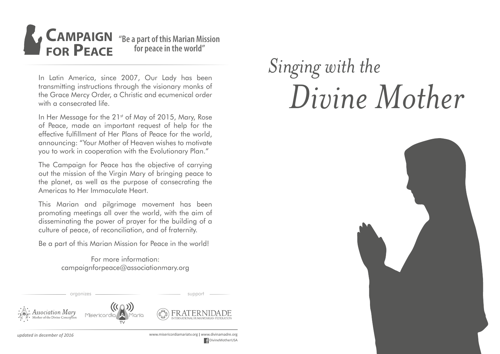

In Latin America, since 2007, Our Lady has been transmitting instructions through the visionary monks of the Grace Mercy Order, a Christic and ecumenical order with a consecrated life.

In Her Message for the 21<sup>st</sup> of May of 2015, Mary, Rose of Peace, made an important request of help for the effective fulfillment of Her Plans of Peace for the world, announcing: "Your Mother of Heaven wishes to motivate you to work in cooperation with the Evolutionary Plan."

The Campaign for Peace has the objective of carrying out the mission of the Virgin Mary of bringing peace to the planet, as well as the purpose of consecrating the Americas to Her Immaculate Heart.

This Marian and pilgrimage movement has been promoting meetings all over the world, with the aim of disseminating the power of prayer for the building of a culture of peace, of reconciliation, and of fraternity.

Be a part of this Marian Mission for Peace in the world!

For more information: campaignforpeace@associationmary.org

# ssociation Mary Misericordia



organizes **support** support



*updated in december of 2016* www.misericordiamariatv.org I www.divinamadre.org DivineMotherUSA

# *Singing with the Divine Mother*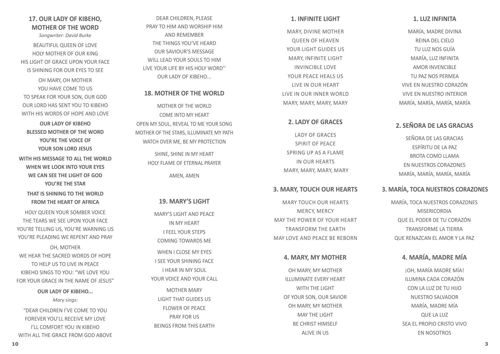#### **1. LUZ INFINITA**

**1. INFINITE LIGHT** 

MARY, DIVINE MOTHER QUEEN OF HEAVEN YOUR LIGHT GUIDES US MARY, INFINITE LIGHT INVINCIBLE LOVE YOUR PEACE HEALS US LIVE IN OUR HEART LIVE IN OUR INNER WORLD MARY, MARY, MARY, MARY

**2. LADY OF GRACES** 

LADY OF GRACES SPIRIT OF PEACE SPRING UP AS A FLAME IN OUR HEARTS MARY, MARY, MARY, MARY

**3. MARY, TOUCH OUR HEARTS** 

MARY TOUCH OUR HEARTS MERCY, MERCY MAY THE POWER OF YOUR HEART TRANSFORM THE EARTH MAY LOVE AND PEACE BE REBORN

**4. MARY, MY MOTHER**

OH MARY, MY MOTHER ILLUMINATE EVERY HEART WITH THE LIGHT OF YOUR SON, OUR SAVIOR OH MARY, MY MOTHER MAY THE LIGHT BE CHRIST HIMSELF ALIVE IN US

MARÍA, MADRE DIVINA REINA DEL CIELO TU LUZ NOS GUÍA MARÍA, LUZ INFINITA AMOR INVENCIBLE TU PAZ NOS PERMEA VIVE EN NUESTRO CORAZÓN VIVE EN NUESTRO INTERIOR MARÍA, MARÍA, MARÍA, MARÍA

## **2. SEÑORA DE LAS GRACIAS**

SEÑORA DE LAS GRACIAS ESPÍRITU DE LA PAZ BROTA COMO LLAMA EN NUESTROS CORAZONES MARÍA, MARÍA, MARÍA, MARÍA

## **3. MARÍA, TOCA NUESTROS CORAZONES**

MARÍA, TOCA NUESTROS CORAZONES MISERICORDIA QUE EL PODER DE TU CORAZÓN TRANSFORME LA TIERRA QUE RENAZCAN EL AMOR Y LA PAZ

## **4. MARÍA, MADRE MÍA**

¡OH, MARÍA MADRE MÍA! ILUMINA CADA CORAZÓN CON LA LUZ DE TU HIJO NUESTRO SALVADOR MARÍA, MADRE MÍA QUE LA LUZ SEA EL PROPIO CRISTO VIVO EN NOSOTROS

## DEAR CHILDREN, PLEASE PRAY TO HIM AND WORSHIP HIM AND REMEMBER THE THINGS YOU'VE HEARD OUR SAVIOUR'S MESSAGE WILL LEAD YOUR SOULS TO HIM LIVE YOUR LIFE BY HIS HOLY WORD'' OUR LADY OF KIBEHO...

## **18. MOTHER OF THE WORLD**

MOTHER OF THE WORLD COME INTO MY HEART OPEN MY SOUL, REVEAL TO ME YOUR SONG MOTHER OF THE STARS, ILLUMINATE MY PATH WATCH OVER ME, BE MY PROTECTION

> SHINE, SHINE IN MY HEART HOLY FLAME OF ETERNAL PRAYER AMEN, AMEN

## **19. MARY'S LIGHT**

MARY'S LIGHT AND PEACE IN MY HEART I FEEL YOUR STEPS COMING TOWARDS ME WHEN I CLOSE MY EYES I SEE YOUR SHINING FACE I HEAR IN MY SOUL YOUR VOICE AND YOUR CALL MOTHER MARY LIGHT THAT GUIDES US FLOWER OF PEACE PRAY FOR US BEINGS FROM THIS EARTH

## **17. OUR LADY OF KIBEHO, MOTHER OF THE WORD**

*Songwriter: David Burke*

BEAUTIFUL QUEEN OF LOVE HOLY MOTHER OF OUR KING HIS LIGHT OF GRACE UPON YOUR FACE IS SHINING FOR OUR EYES TO SEE

OH MARY, OH MOTHER YOU HAVE COME TO US TO SPEAK FOR YOUR SON, OUR GOD OUR LORD HAS SENT YOU TO KIBEHO WITH HIS WORDS OF HOPE AND LOVE

**OUR LADY OF KIBEHO BLESSED MOTHER OF THE WORD YOU'RE THE VOICE OF YOUR SON LORD JESUS**

**WITH HIS MESSAGE TO ALL THE WORLD WHEN WE LOOK INTO YOUR EYES WE CAN SEE THE LIGHT OF GOD YOU'RE THE STAR**

**THAT IS SHINING TO THE WORLD FROM THE HEART OF AFRICA**

HOLY QUEEN YOUR SOMBER VOICE THE TEARS WE SEE UPON YOUR FACE YOU'RE TELLING US, YOU'RE WARNING US YOU'RE PLEADING WE REPENT AND PRAY

OH, MOTHER WE HEAR THE SACRED WORDS OF HOPE TO HELP US TO LIVE IN PEACE KIBEHO SINGS TO YOU: "WE LOVE YOU FOR YOUR GRACE IN THE NAME OF JESUS"

> **OUR LADY OF KIBEHO...** *Mary sings:*

"DEAR CHILDREN I'VE COME TO YOU FOREVER YOU'LL RECEIVE MY LOVE I'LL COMFORT YOU IN KIBEHO WITH ALL THE GRACE FROM GOD ABOVE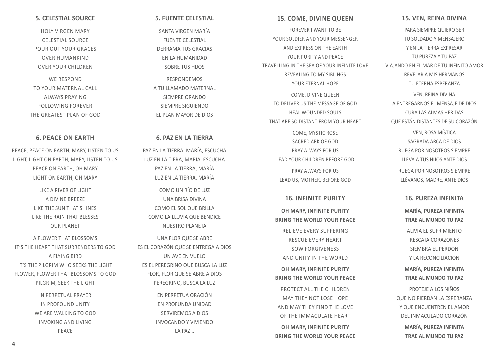#### **15. VEN, REINA DIVINA**

**15. COME, DIVINE QUEEN** FOREVER I WANT TO BE YOUR SOLDIER AND YOUR MESSENGER AND EXPRESS ON THE EARTH YOUR PURITY AND PEACE TRAVELLING IN THE SEA OF YOUR INFINITE LOVE REVEALING TO MY SIBLINGS YOUR FTERNAL HOPE COME, DIVINE QUEEN TO DELIVER US THE MESSAGE OF GOD HEAL WOUNDED SOULS THAT ARE SO DISTANT FROM YOUR HEART

> COME, MYSTIC ROSE SACRED ARK OF GOD PRAY ALWAYS FOR US LEAD YOUR CHILDREN BEFORE GOD PRAY ALWAYS FOR US LEAD US, MOTHER, BEFORE GOD

> > **16. INFINITE PURITY**

**OH MARY, INFINITE PURITY BRING THE WORLD YOUR PEACE** RELIEVE EVERY SUFFERING RESCUE EVERY HEART SOW FORGIVENESS AND UNITY IN THE WORLD **OH MARY, INFINITE PURITY BRING THE WORLD YOUR PEACE** PROTECT ALL THE CHILDREN MAY THEY NOT LOSE HOPE AND MAY THEY FIND THE LOVE OF THE IMMACULATE HEART **OH MARY, INFINITE PURITY BRING THE WORLD YOUR PEACE**

PARA SIEMPRE QUIERO SER TU SOLDADO Y MENSAJERO Y EN LA TIERRA EXPRESAR TU PUREZA Y TU PAZ VIAJANDO EN EL MAR DE TU INFINITO AMOR REVELAR A MIS HERMANOS TU ETERNA ESPERANZA VEN, REINA DIVINA A ENTREGARNOS EL MENSAJE DE DIOS CURA LAS ALMAS HERIDAS

> VEN, ROSA MÍSTICA SAGRADA ARCA DE DIOS RUEGA POR NOSOTROS SIEMPRE LLEVA A TUS HIJOS ANTE DIOS RUEGA POR NOSOTROS SIEMPRE LLÉVANOS, MADRE, ANTE DIOS

QUE ESTÁN DISTANTES DE SU CORAZÓN

#### **16. PUREZA INFINITA**

**MARÍA, PUREZA INFINITA TRAE AL MUNDO TU PAZ**

ALIVIA EL SUFRIMIENTO RESCATA CORAZONES SIEMBRA EL PERDÓN Y LA RECONCILIACIÓN

**MARÍA, PUREZA INFINITA TRAE AL MUNDO TU PAZ**

PROTEJE A LOS NIÑOS QUE NO PIERDAN LA ESPERANZA Y OUF ENCUENTREN EL AMOR DEL INMACULADO CORAZÓN **MARÍA, PUREZA INFINITA TRAE AL MUNDO TU PAZ**

#### **5. FUENTE CELESTIAL**

SANTA VIRGEN MARÍA FUENTE CELESTIAL DERRAMA TUS GRACIAS EN LA HUMANIDAD SOBRE TUS HIJOS

RESPONDEMOS A TU I LAMADO MATERNAL SIEMPRE ORANDO SIEMPRE SIGUIENDO EL PLAN MAYOR DE DIOS

#### **6. PAZ EN LA TIERRA**

PAZ EN LA TIERRA, MARÍA, ESCUCHA LUZ EN LA TIERA, MARÍA, ESCUCHA PAZ EN LA TIERRA, MARÍA LUZ EN LA TIERRA, MARÍA

COMO UN RÍO DE LUZ UNA BRISA DIVINA COMO EL SOL QUE BRILLA COMO LA LLUVIA QUE BENDICE NUESTRO PLANETA

UNA FLOR QUE SE ABRE ES EL CORAZÓN QUE SE ENTREGA A DIOS UN AVE EN VUELO ES EL PEREGRINO QUE BUSCA LA LUZ FLOR, FLOR QUE SE ABRE A DIOS PEREGRINO, BUSCA LA LUZ

> EN PERPETUA ORACIÓN EN PROFUNDA UNIDAD SERVIREMOS A DIOS INVOCANDO Y VIVIENDO LA PAZ…

#### **5. CELESTIAL SOURCE**

HOLY VIRGEN MARY CELESTIAL SOURCE POUR OUT YOUR GRACES OVER HUMANKIND OVER YOUR CHILDREN

WE RESPOND TO YOUR MATERNAL CALL ALWAYS PRAYING FOLLOWING FOREVER THE GREATEST PLAN OF GOD

#### **6. PEACE ON EARTH**

PEACE, PEACE ON EARTH, MARY, LISTEN TO US LIGHT, LIGHT ON EARTH, MARY, LISTEN TO US PEACE ON EARTH, OH MARY LIGHT ON EARTH, OH MARY

> LIKE A RIVER OF LIGHT A DIVINE BREEZE LIKE THE SUN THAT SHINES LIKE THE RAIN THAT BLESSES OUR PLANET

A FLOWER THAT BLOSSOMS IT'S THE HEART THAT SURRENDERS TO GOD A FLYING BIRD IT'S THE PILGRIM WHO SEEKS THE LIGHT FLOWER, FLOWER THAT BLOSSOMS TO GOD PILGRIM, SEEK THE LIGHT

> IN PERPETUAL PRAYER IN PROFOUND UNITY WE ARE WALKING TO GOD INVOKING AND LIVING PEACE

**4 9**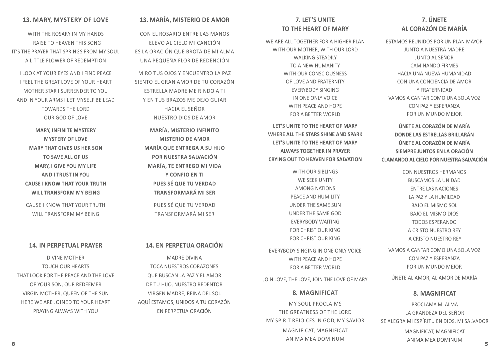## **7. ÚNETE AL CORAZÓN DE MARÍA**

ESTAMOS REUNIDOS POR UN PLAN MAYOR JUNTO A NUESTRA MADRE JUNTO AL SEÑOR CAMINANDO FIRMES HACIA UNA NUEVA HUMANIDAD CON UNA CONCIENCIA DE AMOR Y FRATERNIDAD VAMOS A CANTAR COMO UNA SOLA VOZ CON PAZ Y ESPERANZA POR UN MUNDO MEJOR

**ÚNETE AL CORAZÓN DE MARÍA DONDE LAS ESTRELLAS BRILLARÁN ÚNETE AL CORAZÓN DE MARÍA SIEMPRE JUNTOS EN LA ORACIÓN CLAMANDO AL CIELO POR NUESTRA SALVACIÓN**

> CON NUESTROS HERMANOS BUSCAMOS LA UNIDAD ENTRE LAS NACIONES LA PAZ Y LA HUMILDAD BAJO EL MISMO SOL BAJO EL MISMO DIOS TODOS ESPERANDO A CRISTO NUESTRO REY A CRISTO NUESTRO REY

VAMOS A CANTAR COMO UNA SOLA VOZ CON PAZ Y ESPERANZA POR UN MUNDO MEJOR

ÚNETE AL AMOR, AL AMOR DE MARÍA

#### **8. MAGNIFICAT**

PROCLAMA MI ALMA LA GRANDEZA DEL SEÑOR SE ALEGRA MI ESPÍRITU EN DIOS, MI SALVADOR

**8 5** MAGNIFICAT, MAGNIFICAT ANIMA MEA DOMINUM

## **7. LET'S UNITE TO THE HEART OF MARY**

WE ARE ALL TOGETHER FOR A HIGHER PLAN WITH OUR MOTHER, WITH OUR LORD WALKING STEADILY TO A NEW HUMANITY WITH OUR CONSCIOUSNESS OF LOVE AND FRATERNITY EVERYBODY SINGING IN ONE ONLY VOICE WITH PEACE AND HOPE FOR A BETTER WORLD

**LET'S UNITE TO THE HEART OF MARY WHERE ALL THE STARS SHINE AND SPARK LET'S UNITE TO THE HEART OF MARY ALWAYS TOGETHER IN PRAYER CRYING OUT TO HEAVEN FOR SALVATION** 

> WITH OUR SIBLINGS WE SEEK UNITY AMONG NATIONS PEACE AND HUMILITY UNDER THE SAME SUN UNDER THE SAME GOD EVERYBODY WAITING FOR CHRIST OUR KING FOR CHRIST OUR KING

EVERYBODY SINGING IN ONE ONLY VOICE WITH PEACE AND HOPE FOR A BETTER WORLD

JOIN LOVE, THE LOVE, JOIN THE LOVE OF MARY

#### **8. MAGNIFICAT**

MY SOUL PROCLAIMS THE GREATNESS OF THE LORD MY SPIRIT REJOICES IN GOD, MY SAVIOR MAGNIFICAT, MAGNIFICAT ANIMA MEA DOMINUM

## **13. MARÍA, MISTERIO DE AMOR**

CON EL ROSARIO ENTRE LAS MANOS ELEVO AL CIELO MI CANCIÓN ES LA ORACIÓN QUE BROTA DE MI ALMA UNA PEQUEÑA FLOR DE REDENCIÓN

MIRO TUS OJOS Y ENCUENTRO LA PAZ SIENTO EL GRAN AMOR DE TU CORAZÓN ESTRELLA MADRE ME RINDO A TI Y EN TUS BRAZOS ME DEJO GUIAR HACIA EL SEÑOR NUESTRO DIOS DE AMOR

**MARÍA, MISTERIO INFINITO MISTERIO DE AMOR MARÍA QUE ENTREGA A SU HIJO POR NUESTRA SALVACIÓN MARÍA, TE ENTREGO MI VIDA Y CONFIO EN TI PUES SÉ QUE TU VERDAD TRANSFORMARÁ MI SER**

PUES SÉ QUE TU VERDAD TRANSFORMARÁ MI SER

## **14. EN PERPETUA ORACIÓN**

MADRE DIVINA TOCA NUESTROS CORAZONES QUE BUSCAN LA PAZ Y EL AMOR DE TU HIJO, NUESTRO REDENTOR VIRGEN MADRE, REINA DEL SOL AQUÍ ESTAMOS, UNIDOS A TU CORAZÓN EN PERPETUA ORACIÓN

#### **13. MARY, MYSTERY OF LOVE**

WITH THE ROSARY IN MY HANDS I RAISE TO HEAVEN THIS SONG IT'S THE PRAYER THAT SPRINGS FROM MY SOUL A LITTLE FLOWER OF REDEMPTION

I LOOK AT YOUR EYES AND I FIND PEACE I FEEL THE GREAT LOVE OF YOUR HEART MOTHER STAR I SURRENDER TO YOU AND IN YOUR ARMS I LET MYSELF BE LEAD TOWARDS THE LORD OUR GOD OF LOVE

> **MARY, INFINITE MYSTERY MYSTERY OF LOVE MARY THAT GIVES US HER SON TO SAVE ALL OF US MARY, I GIVE YOU MY LIFE AND I TRUST IN YOU CAUSE I KNOW THAT YOUR TRUTH WILL TRANSFORM MY BEING**

CAUSE I KNOW THAT YOUR TRUTH WILL TRANSFORM MY BEING

#### **14. IN PERPETUAL PRAYER**

DIVINE MOTHER TOUCH OUR HEARTS THAT LOOK FOR THE PEACE AND THE LOVE OF YOUR SON, OUR REDEEMER VIRGIN MOTHER, QUEEN OF THE SUN HERE WE ARE JOINED TO YOUR HEART PRAYING ALWAYS WITH YOU